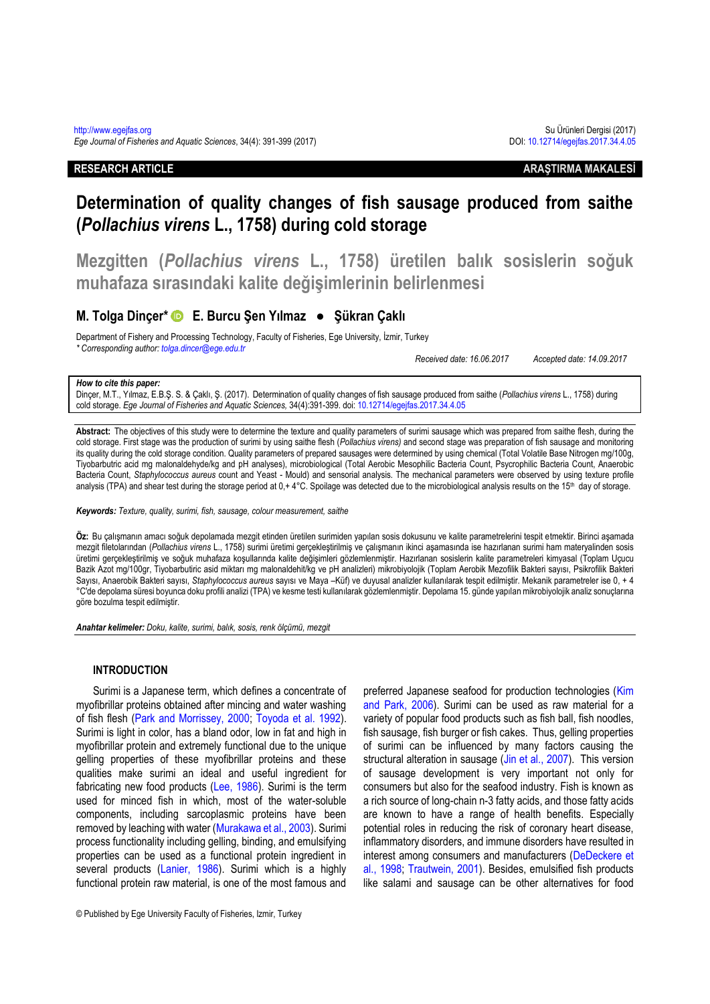**RESEARCH ARTICLE ARAŞTIRMA MAKALESİ**

# **Determination of quality changes of fish sausage produced from saithe (***Pollachius virens* **L., 1758) during cold storage**

**Mezgitten (***Pollachius virens* **L., 1758) üretilen balık sosislerin soğuk muhafaza sırasındaki kalite değişimlerinin belirlenmesi**

# **M. Tolga Dinçer\* E. Burcu Şen Yılmaz ● Şükran Çaklı**

Department of Fishery and Processing Technology, Faculty of Fisheries, Ege University, İzmir, Turkey

*\* Corresponding author: [tolga.dincer@ege.edu.tr](mailto:tolga.dincer@ege.edu.tr)*

*Received date: 16.06.2017 Accepted date: 14.09.2017*

# *How to cite this paper:*

Dinçer, M.T., Yılmaz, E.B.Ş. S. & Çaklı, Ş. (2017). Determination of quality changes of fish sausage produced from saithe (*Pollachius virens* L., 1758) during cold storage. *Ege Journal of Fisheries and Aquatic Sciences,* 34(4):391-399. doi: [10.12714/egejfas.2017.34.4.05](http://dx.doi.org/10.12714/egejfas.2017.34.4.05)

**Abstract:** The objectives of this study were to determine the texture and quality parameters of surimi sausage which was prepared from saithe flesh, during the cold storage. First stage was the production of surimi by using saithe flesh (*Pollachius virens)* and second stage was preparation of fish sausage and monitoring its quality during the cold storage condition. Quality parameters of prepared sausages were determined by using chemical (Total Volatile Base Nitrogen mg/100g, Tiyobarbutric acid mg malonaldehyde/kg and pH analyses), microbiological (Total Aerobic Mesophilic Bacteria Count, Psycrophilic Bacteria Count, Anaerobic Bacteria Count, *Staphylococcus aureus* count and Yeast - Mould) and sensorial analysis. The mechanical parameters were observed by using texture profile analysis (TPA) and shear test during the storage period at 0,+ 4°C. Spoilage was detected due to the microbiological analysis results on the 15th day of storage.

*Keywords: Texture, quality, surimi, fish, sausage, colour measurement, saithe*

**Öz:** Bu çalışmanın amacı soğuk depolamada mezgit etinden üretilen surimiden yapılan sosis dokusunu ve kalite parametrelerini tespit etmektir. Birinci aşamada mezgit filetolarından (*Pollachius virens* L., 1758) surimi üretimi gerçekleştirilmiş ve çalışmanın ikinci aşamasında ise hazırlanan surimi ham materyalinden sosis üretimi gerçekleştirilmiş ve soğuk muhafaza koşullarında kalite değişimleri gözlemlenmiştir. Hazırlanan sosislerin kalite parametreleri kimyasal (Toplam Uçucu Bazik Azot mg/100gr, Tiyobarbutiric asid miktarı mg malonaldehit/kg ve pH analizleri) mikrobiyolojik (Toplam Aerobik Mezofilik Bakteri sayısı, Psikrofilik Bakteri Sayısı, Anaerobik Bakteri sayısı, *Staphylococcus aureus* sayısı ve Maya –Küf) ve duyusal analizler kullanılarak tespit edilmiştir. Mekanik parametreler ise 0, + 4 °C'de depolama süresi boyunca doku profili analizi (TPA) ve kesme testi kullanılarak gözlemlenmiştir. Depolama 15. günde yapılan mikrobiyolojik analiz sonuçlarına göre bozulma tespit edilmiştir.

*Anahtar kelimeler: Doku, kalite, surimi, balık, sosis, renk ölçümü, mezgit*

# **INTRODUCTION**

Surimi is a Japanese term, which defines a concentrate of myofibrillar proteins obtained after mincing and water washing of fish flesh [\(Park and Morrissey, 2000;](#page-8-0) Toyoda [et al. 1992\)](#page-8-1). Surimi is light in color, has a bland odor, low in fat and high in myofibrillar protein and extremely functional due to the unique gelling properties of these myofibrillar proteins and these qualities make surimi an ideal and useful ingredient for fabricating new food products [\(Lee, 1986\)](#page-7-0). Surimi is the term used for minced fish in which, most of the water-soluble components, including sarcoplasmic proteins have been removed by leaching with water [\(Murakawa et al., 2003\)](#page-8-2). Surimi process functionality including gelling, binding, and emulsifying properties can be used as a functional protein ingredient in several products [\(Lanier, 1986\)](#page-7-1). Surimi which is a highly functional protein raw material, is one of the most famous and

preferred Japanese seafood for production technologies [\(Kim](#page-7-2)  [and Park,](#page-7-2) 2006). Surimi can be used as raw material for a variety of popular food products such as fish ball, fish noodles, fish sausage, fish burger or fish cakes. Thus, gelling properties of surimi can be influenced by many factors causing the structural alteration in sausage [\(Jin et al., 2007\)](#page-7-3). This version of sausage development is very important not only for consumers but also for the seafood industry. Fish is known as a rich source of long-chain n-3 fatty acids, and those fatty acids are known to have a range of health benefits. Especially potential roles in reducing the risk of coronary heart disease, inflammatory disorders, and immune disorders have resulted in interest among consumers and manufacturers [\(DeDeckere et](#page-7-4)  [al., 1998;](#page-7-4) [Trautwein, 2001\)](#page-8-3). Besides, emulsified fish products like salami and sausage can be other alternatives for food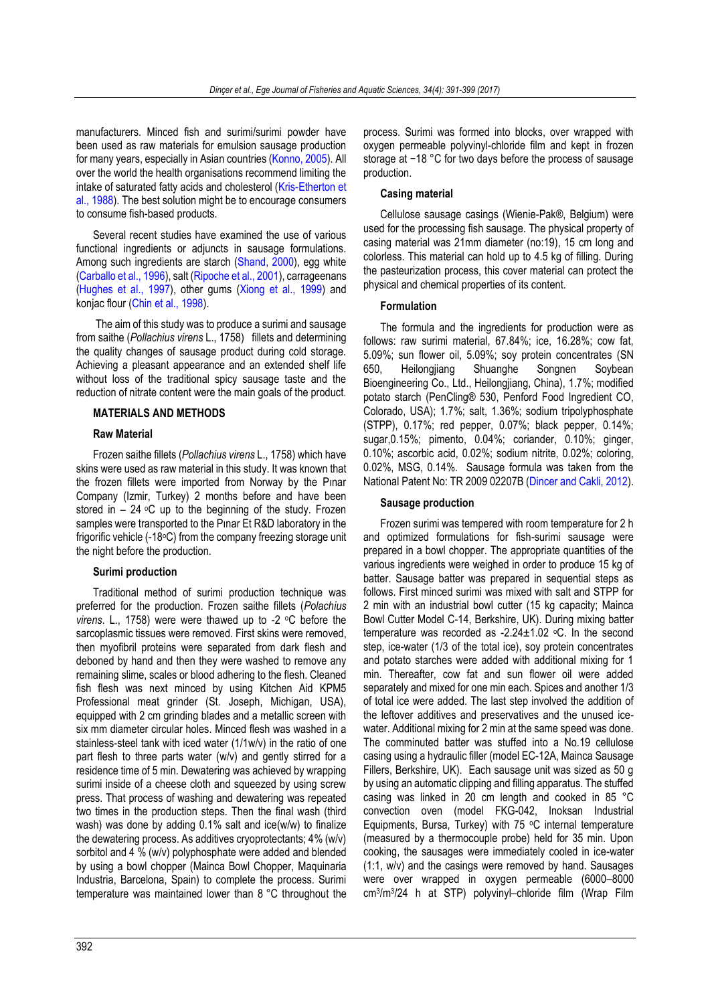manufacturers. Minced fish and surimi/surimi powder have been used as raw materials for emulsion sausage production for many years, especially in Asian countries [\(Konno, 2005\)](#page-7-5). All over the world the health organisations recommend limiting the intake of saturated fatty acids and cholesterol [\(Kris-Etherton et](#page-7-6)  [al., 1988\)](#page-7-6). The best solution might be to encourage consumers to consume fish-based products.

Several recent studies have examined the use of various functional ingredients or adjuncts in sausage formulations. Among such ingredients are starch [\(Shand, 2000\)](#page-8-4), egg white [\(Carballo et al., 1996\)](#page-7-7), salt [\(Ripoche et al., 2001\)](#page-8-5), carrageenans [\(Hughes et al., 1997\)](#page-7-8), other gums [\(Xiong et al., 1999\)](#page-8-6) and konjac flour [\(Chin et al., 1998\)](#page-7-9).

The aim of this study was to produce a surimi and sausage from saithe (*Pollachius virens* L., 1758) fillets and determining the quality changes of sausage product during cold storage. Achieving a pleasant appearance and an extended shelf life without loss of the traditional spicy sausage taste and the reduction of nitrate content were the main goals of the product.

# **MATERIALS AND METHODS**

# **Raw Material**

Frozen saithe fillets (*Pollachius virens* L., 1758) which have skins were used as raw material in this study. It was known that the frozen fillets were imported from Norway by the Pınar Company (Izmir, Turkey) 2 months before and have been stored in  $-24$  °C up to the beginning of the study. Frozen samples were transported to the Pınar Et R&D laboratory in the frigorific vehicle (-18°C) from the company freezing storage unit the night before the production.

# **Surimi production**

Traditional method of surimi production technique was preferred for the production. Frozen saithe fillets (*Polachius virens.* L., 1758) were were thawed up to -2 °C before the sarcoplasmic tissues were removed. First skins were removed, then myofibril proteins were separated from dark flesh and deboned by hand and then they were washed to remove any remaining slime, scales or blood adhering to the flesh. Cleaned fish flesh was next minced by using Kitchen Aid KPM5 Professional meat grinder (St. Joseph, Michigan, USA), equipped with 2 cm grinding blades and a metallic screen with six mm diameter circular holes. Minced flesh was washed in a stainless-steel tank with iced water (1/1w/v) in the ratio of one part flesh to three parts water (w/v) and gently stirred for a residence time of 5 min. Dewatering was achieved by wrapping surimi inside of a cheese cloth and squeezed by using screw press. That process of washing and dewatering was repeated two times in the production steps. Then the final wash (third wash) was done by adding 0.1% salt and ice(w/w) to finalize the dewatering process. As additives cryoprotectants; 4% (w/v) sorbitol and 4 % (w/v) polyphosphate were added and blended by using a bowl chopper (Mainca Bowl Chopper, Maquinaria Industria, Barcelona, Spain) to complete the process. Surimi temperature was maintained lower than 8 °C throughout the

process. Surimi was formed into blocks, over wrapped with oxygen permeable polyvinyl-chloride film and kept in frozen storage at −18 °C for two days before the process of sausage production.

### **Casing material**

Cellulose sausage casings (Wienie-Pak®, Belgium) were used for the processing fish sausage. The physical property of casing material was 21mm diameter (no:19), 15 cm long and colorless. This material can hold up to 4.5 kg of filling. During the pasteurization process, this cover material can protect the physical and chemical properties of its content.

# **Formulation**

The formula and the ingredients for production were as follows: raw surimi material, 67.84%; ice, 16.28%; cow fat, 5.09%; sun flower oil, 5.09%; soy protein concentrates (SN 650, Heilongjiang Shuanghe Songnen Soybean Bioengineering Co., Ltd., Heilongjiang, China), 1.7%; modified potato starch (PenCling® 530, Penford Food Ingredient CO, Colorado, USA); 1.7%; salt, 1.36%; sodium tripolyphosphate (STPP), 0.17%; red pepper, 0.07%; black pepper, 0.14%; sugar,0.15%; pimento, 0.04%; coriander, 0.10%; ginger, 0.10%; ascorbic acid, 0.02%; sodium nitrite, 0.02%; coloring, 0.02%, MSG, 0.14%. Sausage formula was taken from the National Patent No: TR 2009 02207B [\(Dincer and Cakli,](#page-7-10) 2012).

# **Sausage production**

Frozen surimi was tempered with room temperature for 2 h and optimized formulations for fish-surimi sausage were prepared in a bowl chopper. The appropriate quantities of the various ingredients were weighed in order to produce 15 kg of batter. Sausage batter was prepared in sequential steps as follows. First minced surimi was mixed with salt and STPP for 2 min with an industrial bowl cutter (15 kg capacity; Mainca Bowl Cutter Model C-14, Berkshire, UK). During mixing batter temperature was recorded as  $-2.24 \pm 1.02$  °C. In the second step, ice-water (1/3 of the total ice), soy protein concentrates and potato starches were added with additional mixing for 1 min. Thereafter, cow fat and sun flower oil were added separately and mixed for one min each. Spices and another 1/3 of total ice were added. The last step involved the addition of the leftover additives and preservatives and the unused icewater. Additional mixing for 2 min at the same speed was done. The comminuted batter was stuffed into a No.19 cellulose casing using a hydraulic filler (model EC-12A, Mainca Sausage Fillers, Berkshire, UK). Each sausage unit was sized as 50 g by using an automatic clipping and filling apparatus. The stuffed casing was linked in 20 cm length and cooked in 85 °C convection oven (model FKG-042, Inoksan Industrial Equipments, Bursa, Turkey) with  $75 °C$  internal temperature (measured by a thermocouple probe) held for 35 min. Upon cooking, the sausages were immediately cooled in ice-water (1:1, w/v) and the casings were removed by hand. Sausages were over wrapped in oxygen permeable (6000–8000 cm<sup>3</sup> /m<sup>3</sup> /24 h at STP) polyvinyl–chloride film (Wrap Film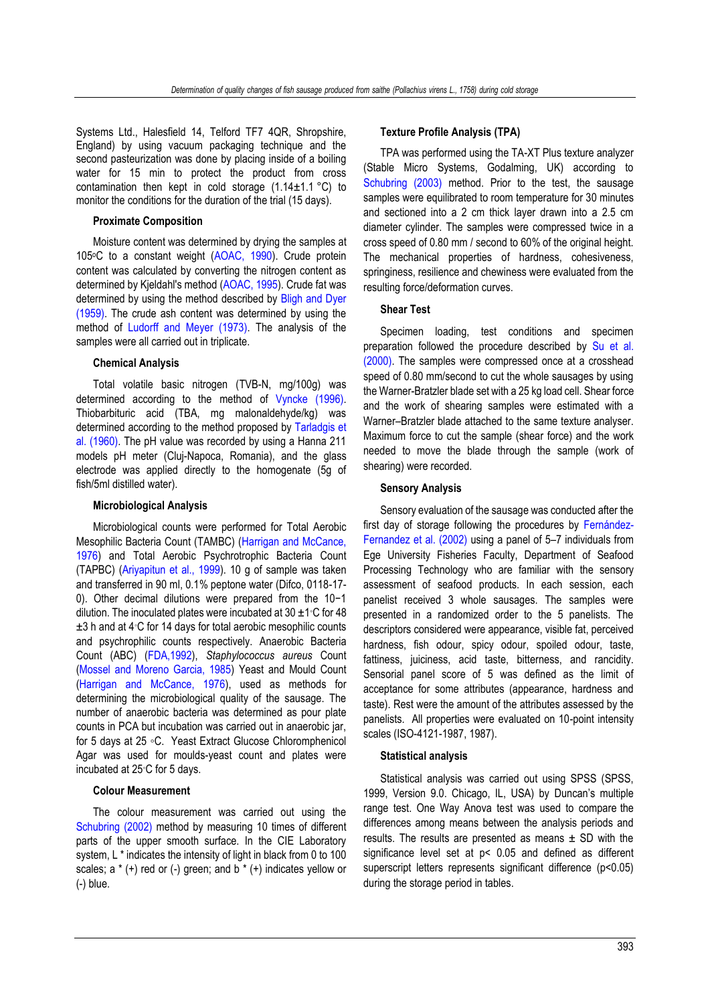Systems Ltd., Halesfield 14, Telford TF7 4QR, Shropshire, England) by using vacuum packaging technique and the second pasteurization was done by placing inside of a boiling water for 15 min to protect the product from cross contamination then kept in cold storage  $(1.14 \pm 1.1 \degree C)$  to monitor the conditions for the duration of the trial (15 days).

# **Proximate Composition**

Moisture content was determined by drying the samples at 105°C to a constant weight [\(AOAC, 1990\)](#page-7-11). Crude protein content was calculated by converting the nitrogen content as determined by Kjeldahl's method [\(AOAC, 1995\)](#page-7-11). Crude fat was determined by using the method described by [Bligh and Dyer](#page-7-12)  [\(1959\).](#page-7-12) The crude ash content was determined by using the method of [Ludorff and Meyer \(1973\).](#page-8-7) The analysis of the samples were all carried out in triplicate.

# **Chemical Analysis**

Total volatile basic nitrogen (TVB-N, mg/100g) was determined according to the method of [Vyncke](#page-8-8) (1996). Thiobarbituric acid (TBA, mg malonaldehyde/kg) was determined according to the method proposed by [Tarladgis et](#page-8-9)  [al. \(1960\).](#page-8-9) The pH value was recorded by using a Hanna 211 models pH meter (Cluj-Napoca, Romania), and the glass electrode was applied directly to the homogenate (5g of fish/5ml distilled water).

# **Microbiological Analysis**

Microbiological counts were performed for Total Aerobic Mesophilic Bacteria Count (TAMBC) [\(Harrigan and McCance,](#page-7-13)  [1976\)](#page-7-13) and Total Aerobic Psychrotrophic Bacteria Count (TAPBC) [\(Ariyapitun et al.,](#page-7-14) 1999). 10 g of sample was taken and transferred in 90 ml, 0.1% peptone water (Difco, 0118-17- 0). Other decimal dilutions were prepared from the 10−1 dilution. The inoculated plates were incubated at 30 ±1◦C for 48 ±3 h and at 4◦C for 14 days for total aerobic mesophilic counts and psychrophilic counts respectively. Anaerobic Bacteria Count (ABC) [\(FDA,1992\)](#page-7-15), *Staphylococcus aureus* Count [\(Mossel and Moreno Garcia, 1985\)](#page-8-10) Yeast and Mould Count [\(Harrigan and McCance, 1976\)](#page-7-13), used as methods for determining the microbiological quality of the sausage. The number of anaerobic bacteria was determined as pour plate counts in PCA but incubation was carried out in anaerobic jar, for 5 days at 25 ◦C. Yeast Extract Glucose Chloromphenicol Agar was used for moulds-yeast count and plates were incubated at 25◦C for 5 days.

# **Colour Measurement**

The colour measurement was carried out using the [Schubring \(2002\)](#page-8-11) method by measuring 10 times of different parts of the upper smooth surface. In the CIE Laboratory system, L \* indicates the intensity of light in black from 0 to 100 scales;  $a * (+)$  red or  $(-)$  green; and  $b * (+)$  indicates yellow or (-) blue.

# **Texture Profile Analysis (TPA)**

TPA was performed using the TA-XT Plus texture analyzer (Stable Micro Systems, Godalming, UK) according to [Schubring \(2003\)](#page-8-12) method. Prior to the test, the sausage samples were equilibrated to room temperature for 30 minutes and sectioned into a 2 cm thick layer drawn into a 2.5 cm diameter cylinder. The samples were compressed twice in a cross speed of 0.80 mm / second to 60% of the original height. The mechanical properties of hardness, cohesiveness, springiness, resilience and chewiness were evaluated from the resulting force/deformation curves.

# **Shear Test**

Specimen loading, test conditions and specimen preparation followed the procedure described by [Su et al.](#page-8-13)  [\(2000\).](#page-8-13) The samples were compressed once at a crosshead speed of 0.80 mm/second to cut the whole sausages by using the Warner-Bratzler blade set with a 25 kg load cell. Shear force and the work of shearing samples were estimated with a Warner–Bratzler blade attached to the same texture analyser. Maximum force to cut the sample (shear force) and the work needed to move the blade through the sample (work of shearing) were recorded.

# **Sensory Analysis**

Sensory evaluation of the sausage was conducted after the first day of storage following the procedures by [Fernández](#page-7-16)-Fernandez [et al. \(2002\)](#page-7-16) using a panel of 5–7 individuals from Ege University Fisheries Faculty, Department of Seafood Processing Technology who are familiar with the sensory assessment of seafood products. In each session, each panelist received 3 whole sausages. The samples were presented in a randomized order to the 5 panelists. The descriptors considered were appearance, visible fat, perceived hardness, fish odour, spicy odour, spoiled odour, taste, fattiness, juiciness, acid taste, bitterness, and rancidity. Sensorial panel score of 5 was defined as the limit of acceptance for some attributes (appearance, hardness and taste). Rest were the amount of the attributes assessed by the panelists. All properties were evaluated on 10-point intensity scales (ISO-4121-1987, 1987).

#### **Statistical analysis**

Statistical analysis was carried out using SPSS (SPSS, 1999, Version 9.0. Chicago, IL, USA) by Duncan's multiple range test. One Way Anova test was used to compare the differences among means between the analysis periods and results. The results are presented as means  $\pm$  SD with the significance level set at p< 0.05 and defined as different superscript letters represents significant difference (p<0.05) during the storage period in tables.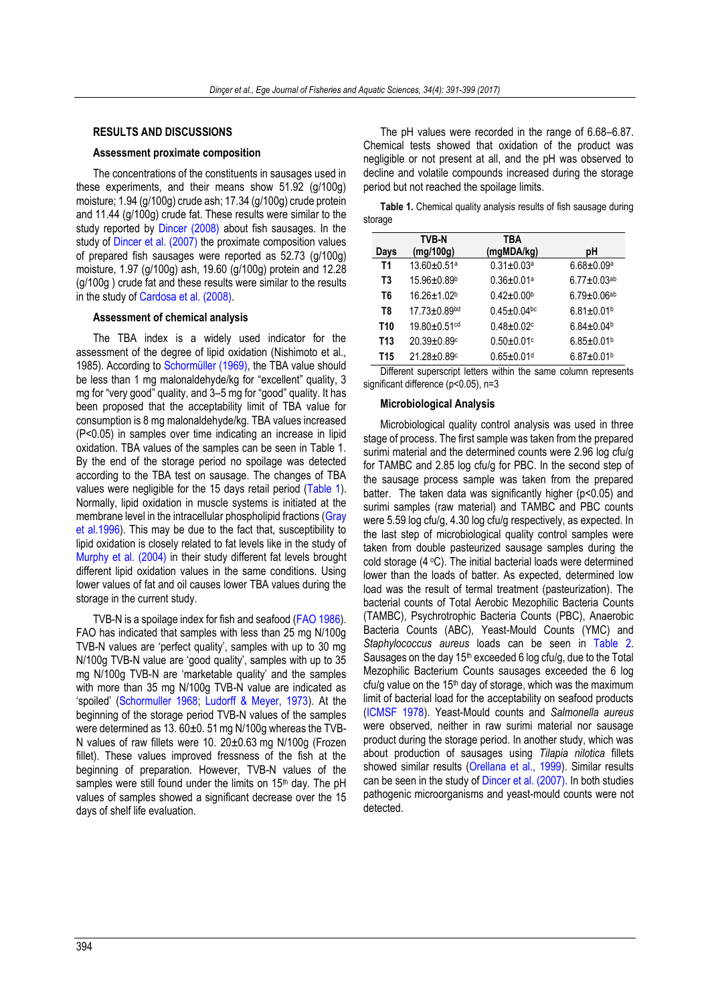# **RESULTS AND DISCUSSIONS**

# **Assessment proximate composition**

The concentrations of the constituents in sausages used in these experiments, and their means show 51.92 (g/100g) moisture; 1.94 (g/100g) crude ash; 17.34 (g/100g) crude protein and 11.44 (g/100g) crude fat. These results were similar to the study reported by [Dincer \(2008\)](#page-7-17) about fish sausages. In the study of [Dincer et al. \(2007\)](#page-7-18) the proximate composition values of prepared fish sausages were reported as 52.73 (g/100g) moisture, 1.97 (g/100g) ash, 19.60 (g/100g) protein and 12.28 (g/100g ) crude fat and these results were similar to the results in the study of [Cardosa et al. \(2008\).](#page-7-19)

# **Assessment of chemical analysis**

The TBA index is a widely used indicator for the assessment of the degree of lipid oxidation (Nishimoto et al., 1985). According to [Schormüller \(1969\)](#page-8-14), the TBA value should be less than 1 mg malonaldehyde/kg for "excellent" quality, 3 mg for "very good" quality, and 3–5 mg for "good" quality. It has been proposed that the acceptability limit of TBA value for consumption is 8 mg malonaldehyde/kg. TBA values increased (P<0.05) in samples over time indicating an increase in lipid oxidation. TBA values of the samples can be seen in Table 1. By the end of the storage period no spoilage was detected according to the TBA test on sausage. The changes of TBA values were negligible for the 15 days retail period [\(Table 1\)](#page-3-0). Normally, lipid oxidation in muscle systems is initiated at the membrane level in the intracellular phospholipid fractions [\(Gray](#page-7-20)  [et al.1996\)](#page-7-20). This may be due to the fact that, susceptibility to lipid oxidation is closely related to fat levels like in the study of [Murphy et al.](#page-8-15) (2004) in their study different fat levels brought different lipid oxidation values in the same conditions. Using lower values of fat and oil causes lower TBA values during the storage in the current study.

TVB-N is a spoilage index for fish and seafood [\(FAO 1986\)](#page-7-21). FAO has indicated that samples with less than 25 mg N/100g TVB-N values are 'perfect quality', samples with up to 30 mg N/100g TVB-N value are 'good quality', samples with up to 35 mg N/100g TVB-N are 'marketable quality' and the samples with more than 35 mg N/100g TVB-N value are indicated as 'spoiled' ([Schormuller 1968;](#page-8-16) [Ludorff & Meyer, 1973\)](#page-8-7). At the beginning of the storage period TVB-N values of the samples were determined as 13. 60±0. 51 mg N/100g whereas the TVB-N values of raw fillets were 10. 20±0.63 mg N/100g (Frozen fillet). These values improved fressness of the fish at the beginning of preparation. However, TVB-N values of the samples were still found under the limits on  $15<sup>th</sup>$  day. The pH values of samples showed a significant decrease over the 15 days of shelf life evaluation.

The pH values were recorded in the range of 6.68–6.87. Chemical tests showed that oxidation of the product was negligible or not present at all, and the pH was observed to decline and volatile compounds increased during the storage period but not reached the spoilage limits.

<span id="page-3-0"></span>**Table 1.** Chemical quality analysis results of fish sausage during storage

|      | <b>TVB-N</b>                   | TBA                          |                              |
|------|--------------------------------|------------------------------|------------------------------|
| Days | (mg/100g)                      | (mgMDA/kg)                   | рH                           |
| T1   | 13.60±0.51ª                    | $0.31 \pm 0.03$ a            | $6.68 \pm 0.09^a$            |
| T3   | 15.96±0.89b                    | $0.36 \pm 0.01$ <sup>a</sup> | $6.77 \pm 0.03$ ab           |
| T6   | $16.26 + 1.02b$                | $0.42 \pm 0.00$ <sup>b</sup> | $6.79 \pm 0.06$ ab           |
| T8   | $17.73 \pm 0.89$ <sup>bd</sup> | $0.45 \pm 0.04$ bc           | $6.81 \pm 0.01$ <sup>b</sup> |
| T10  | 19.80±0.51 <sup>cd</sup>       | $0.48 + 0.02c$               | $6.84 \pm 0.04$              |
| T13  | 20.39±0.89c                    | $0.50 + 0.01$ c              | $6.85 \pm 0.01$ <sup>b</sup> |
| T15  | 21.28±0.89c                    | $0.65 \pm 0.01$ <sup>d</sup> | $6.87 \pm 0.01$ <sup>b</sup> |

Different superscript letters within the same column represents significant difference (p<0.05), n=3

#### **Microbiological Analysis**

Microbiological quality control analysis was used in three stage of process. The first sample was taken from the prepared surimi material and the determined counts were 2.96 log cfu/g for TAMBC and 2.85 log cfu/g for PBC. In the second step of the sausage process sample was taken from the prepared batter. The taken data was significantly higher (p<0.05) and surimi samples (raw material) and TAMBC and PBC counts were 5.59 log cfu/g, 4.30 log cfu/g respectively, as expected. In the last step of microbiological quality control samples were taken from double pasteurized sausage samples during the cold storage  $(4 \, \degree C)$ . The initial bacterial loads were determined lower than the loads of batter. As expected, determined low load was the result of termal treatment (pasteurization). The bacterial counts of Total Aerobic Mezophilic Bacteria Counts (TAMBC), Psychrotrophic Bacteria Counts (PBC), Anaerobic Bacteria Counts (ABC), Yeast-Mould Counts (YMC) and *Staphylococcus aureus* loads can be seen in [Table 2.](#page-4-0) Sausages on the day  $15<sup>th</sup>$  exceeded 6 log cfu/g, due to the Total Mezophilic Bacterium Counts sausages exceeded the 6 log cfu/g value on the 15<sup>th</sup> day of storage, which was the maximum limit of bacterial load for the acceptability on seafood products [\(ICMSF 1978\)](#page-7-22). Yeast-Mould counts and *Salmonella aureus* were observed, neither in raw surimi material nor sausage product during the storage period. In another study, which was about production of sausages using *Tilapia nilotica* fillets showed similar results [\(Orellana et al., 1999\)](#page-8-17). Similar results can be seen in the study o[f Dincer et al. \(2007\).](#page-7-18) In both studies pathogenic microorganisms and yeast-mould counts were not detected.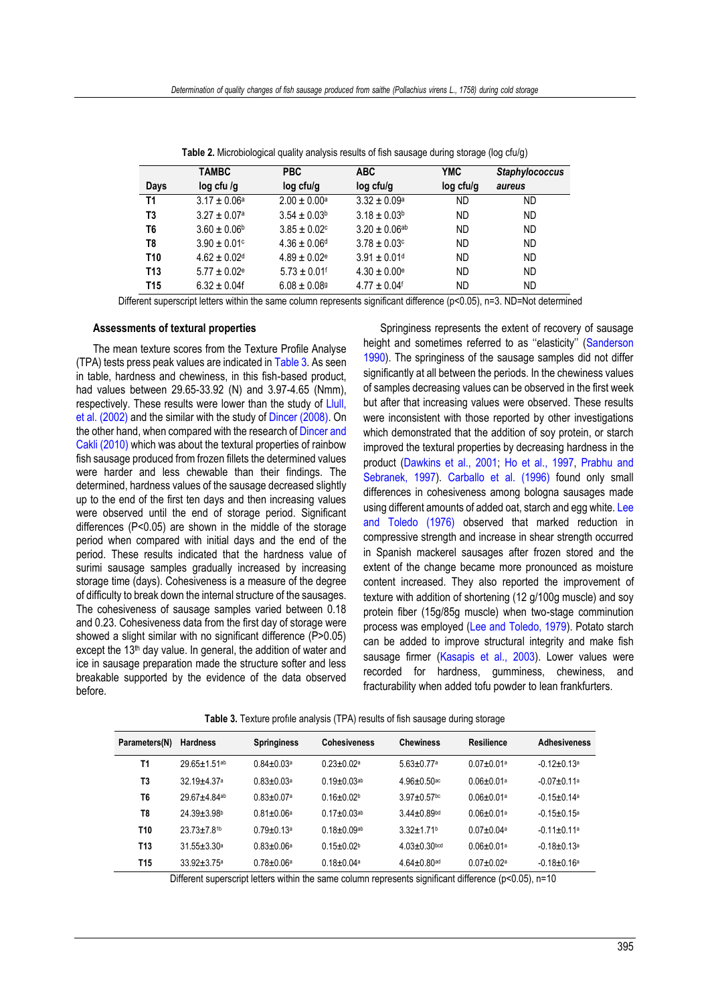<span id="page-4-0"></span>

|                 | <b>TAMBC</b>                 | <b>PBC</b>                   | <b>ABC</b>                   | <b>YMC</b> | <b>Staphylococcus</b> |
|-----------------|------------------------------|------------------------------|------------------------------|------------|-----------------------|
| Days            | $log$ cfu /g                 | log cfu/g                    | log cfu/g                    | log cfu/g  | aureus                |
| T1              | $3.17 \pm 0.06^a$            | $2.00 \pm 0.00^a$            | $3.32 \pm 0.09^a$            | ND         | <b>ND</b>             |
| T3              | $3.27 \pm 0.07$ <sup>a</sup> | $3.54 \pm 0.03^b$            | $3.18 \pm 0.03^b$            | ND         | <b>ND</b>             |
| T6              | $3.60 \pm 0.06^{\circ}$      | $3.85 \pm 0.02$ <sup>c</sup> | $3.20 \pm 0.06^{ab}$         | ND         | <b>ND</b>             |
| T8              | $3.90 \pm 0.01$ c            | $4.36 \pm 0.06$ <sup>d</sup> | $3.78 \pm 0.03$ c            | ND         | <b>ND</b>             |
| T <sub>10</sub> | $4.62 \pm 0.02$ <sup>d</sup> | $4.89 \pm 0.02$ <sup>e</sup> | $3.91 \pm 0.01$ <sup>d</sup> | ND         | <b>ND</b>             |
| T <sub>13</sub> | $5.77 \pm 0.02$ <sup>e</sup> | $5.73 \pm 0.01$ <sup>f</sup> | $4.30 \pm 0.00^{\circ}$      | ND         | <b>ND</b>             |
| <b>T15</b>      | $6.32 \pm 0.04f$             | $6.08 \pm 0.089$             | $4.77 \pm 0.04$ <sup>f</sup> | ND         | ND                    |

**Table 2.** Microbiological quality analysis results of fish sausage during storage (log cfu/g)

Different superscript letters within the same column represents significant difference (p<0.05), n=3. ND=Not determined

#### **Assessments of textural properties**

The mean texture scores from the Texture Profile Analyse (TPA) tests press peak values are indicated i[n Table 3.](#page-4-1) As seen in table, hardness and chewiness, in this fish-based product, had values between 29.65-33.92 (N) and 3.97-4.65 (Nmm), respectively. These results were lower than the study of Llull, [et al. \(2002\)](#page-7-23) and the similar with the study o[f Dincer \(2008\).](#page-7-17) On the other hand, when compared with the research o[f Dincer and](#page-7-24)  [Cakli \(2010\)](#page-7-24) which was about the textural properties of rainbow fish sausage produced from frozen fillets the determined values were harder and less chewable than their findings. The determined, hardness values of the sausage decreased slightly up to the end of the first ten days and then increasing values were observed until the end of storage period. Significant differences (P<0.05) are shown in the middle of the storage period when compared with initial days and the end of the period. These results indicated that the hardness value of surimi sausage samples gradually increased by increasing storage time (days). Cohesiveness is a measure of the degree of difficulty to break down the internal structure of the sausages. The cohesiveness of sausage samples varied between 0.18 and 0.23. Cohesiveness data from the first day of storage were showed a slight similar with no significant difference (P>0.05) except the 13<sup>th</sup> day value. In general, the addition of water and ice in sausage preparation made the structure softer and less breakable supported by the evidence of the data observed before.

Springiness represents the extent of recovery of sausage height and sometimes referred to as ''elasticity'' ([Sanderson](#page-8-18)  [1990\)](#page-8-18). The springiness of the sausage samples did not differ significantly at all between the periods. In the chewiness values of samples decreasing values can be observed in the first week but after that increasing values were observed. These results were inconsistent with those reported by other investigations which demonstrated that the addition of soy protein, or starch improved the textural properties by decreasing hardness in the product [\(Dawkins et al.,](#page-7-25) 2001; [Ho et al.,](#page-7-26) 1997, [Prabhu and](#page-8-19) [Sebranek, 1997\)](#page-8-19). [Carballo et al.](#page-7-7) (1996) found only small differences in cohesiveness among bologna sausages made using different amounts of added oat, starch and egg white. [Lee](#page-7-27)  [and Toledo \(1976\)](#page-7-27) observed that marked reduction in compressive strength and increase in shear strength occurred in Spanish mackerel sausages after frozen stored and the extent of the change became more pronounced as moisture content increased. They also reported the improvement of texture with addition of shortening (12 g/100g muscle) and soy protein fiber (15g/85g muscle) when two-stage comminution process was employed [\(Lee and Toledo, 1979\)](#page-7-27). Potato starch can be added to improve structural integrity and make fish sausage firmer [\(Kasapis et al.,](#page-7-28) 2003). Lower values were recorded for hardness, gumminess, chewiness, and fracturability when added tofu powder to lean frankfurters.

**Table 3.** Texture profıle analysis (TPA) results of fish sausage during storage

<span id="page-4-1"></span>

| Parameters(N)   | <b>Hardness</b>          | <b>Springiness</b>           | <b>Cohesiveness</b>           | <b>Chewiness</b>               | Resilience                   | Adhesiveness         |
|-----------------|--------------------------|------------------------------|-------------------------------|--------------------------------|------------------------------|----------------------|
| T1              | 29 65+1 51 <sup>ab</sup> | $0.84 \pm 0.03$ <sup>a</sup> | $0.23 + 0.02a$                | $5.63 \pm 0.77$ <sup>a</sup>   | $0.07 \pm 0.01$ <sup>a</sup> | $-0.12+0.13a$        |
| T3              | $3219+437a$              | $0.83 \pm 0.03$ <sup>a</sup> | $0.19 \pm 0.03$ <sup>ab</sup> | $4.96 \pm 0.50$ <sup>ac</sup>  | $0.06 \pm 0.01$ <sup>a</sup> | $-0.07 + 0.11a$      |
| T <sub>6</sub>  | 29 67+4 84ab             | $0.83 + 0.07$ <sup>a</sup>   | $0.16 + 0.02b$                | $3.97 + 0.57$ <sub>bc</sub>    | $0.06 + 0.01a$               | $-0.15+0.14a$        |
| T8              | 24 39+3 98b              | $0.81 + 0.06a$               | $0.17 \pm 0.03$ <sup>ab</sup> | $3.44 + 0.89$ bd               | $0.06 \pm 0.01$ <sup>a</sup> | $-0.15+0.15a$        |
| T <sub>10</sub> | $23.73 \pm 7.81$         | $0.79 \pm 0.13$ <sup>a</sup> | $0.18 \pm 0.09$ ab            | $3.32 \pm 1.71$ <sup>b</sup>   | $0.07 + 0.04a$               | $-0.11+0.11a$        |
| T13             | $31.55 \pm 3.30$ a       | $0.83 \pm 0.06$ <sup>a</sup> | $0.15 + 0.02b$                | $4.03 \pm 0.30$ <sub>bcd</sub> | $0.06 \pm 0.01$ <sup>a</sup> | $-0.18+0.13a$        |
| T15             | $33.92 + 3.75^{\circ}$   | $0.78 \pm 0.06^a$            | $0.18 + 0.04$ a               | $4.64 \pm 0.80$ <sup>ad</sup>  | $0.07 + 0.02a$               | -0 18 <b>+</b> 0 16ª |

Different superscript letters within the same column represents significant difference (p<0.05), n=10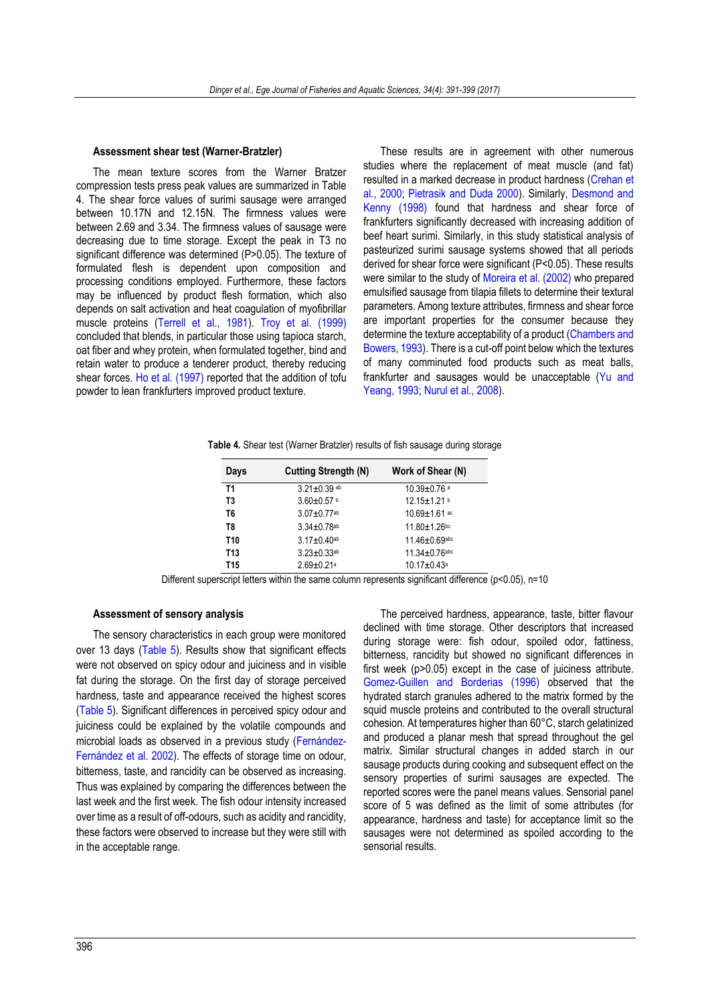# **Assessment shear test (Warner-Bratzler)**

The mean texture scores from the Warner Bratzer compression tests press peak values are summarized in Table 4. The shear force values of surimi sausage were arranged between 10.17N and 12.15N. The firmness values were between 2.69 and 3.34. The firmness values of sausage were decreasing due to time storage. Except the peak in T3 no significant difference was determined (P>0.05). The texture of formulated flesh is dependent upon composition and processing conditions employed. Furthermore, these factors may be influenced by product flesh formation, which also depends on salt activation and heat coagulation of myofibrillar muscle proteins [\(Terrell et al., 1981\)](#page-8-20). [Troy et al. \(1999\)](#page-8-21) concluded that blends, in particular those using tapioca starch, oat fiber and whey protein, when formulated together, bind and retain water to produce a tenderer product, thereby reducing shear forces. [Ho et al. \(1997\)](#page-7-26) reported that the addition of tofu powder to lean frankfurters improved product texture.

These results are in agreement with other numerous studies where the replacement of meat muscle (and fat) resulted in a marked decrease in product hardness [\(Crehan et](#page-7-29)  al., [2000;](#page-7-29) [Pietrasik and](#page-8-22) Duda 2000). Similarly, [Desmond and](#page-7-30)  [Kenny \(1998\)](#page-7-30) found that hardness and shear force of frankfurters significantly decreased with increasing addition of beef heart surimi. Similarly, in this study statistical analysis of pasteurized surimi sausage systems showed that all periods derived for shear force were significant (P<0.05). These results were similar to the study of [Moreira et al. \(2002\)](#page-8-23) who prepared emulsified sausage from tilapia fillets to determine their textural parameters. Among texture attributes, firmness and shear force are important properties for the consumer because they determine the texture acceptability of a product [\(Chambers and](#page-7-31)  [Bowers, 1993\)](#page-7-31). There is a cut-off point below which the textures of many comminuted food products such as meat balls, frankfurter and sausages would be unacceptable [\(Yu and](#page-8-24)  [Yeang, 1993;](#page-8-24) [Nurul et al., 2008\)](#page-8-25).

**Table 4.** Shear test (Warner Bratzler) results of fish sausage during storage

| Days            | <b>Cutting Strength (N)</b>   | Work of Shear (N)             |
|-----------------|-------------------------------|-------------------------------|
| T1              | $3.21 \pm 0.39$ ab            | $10.39 \pm 0.76$ <sup>a</sup> |
| T3              | 3.60 $\pm$ 0.57 $b$           | 12.15±1.21 b                  |
| T6              | $3.07 \pm 0.77$ ab            | $10.69 \pm 1.61$ ac           |
| T8              | $3.34 \pm 0.78$ <sup>ab</sup> | 11.80±1.26bc                  |
| T <sub>10</sub> | $3.17 \pm 0.40$ ab            | $11.46 \pm 0.69$ abc          |
| <b>T13</b>      | $3.23 \pm 0.33$ ab            | $11.34 \pm 0.76$ abc          |
| <b>T15</b>      | $2.69 \pm 0.21$ a             | $10.17 \pm 0.43$ <sup>a</sup> |

Different superscript letters within the same column represents significant difference (p<0.05), n=10

# **Assessment of sensory analysis**

The sensory characteristics in each group were monitored over 13 days [\(Table 5\)](#page-6-0). Results show that significant effects were not observed on spicy odour and juiciness and in visible fat during the storage. On the first day of storage perceived hardness, taste and appearance received the highest scores [\(Table 5\)](#page-6-0). Significant differences in perceived spicy odour and juiciness could be explained by the volatile compounds and microbial loads as observed in a previous study ([Fernández](#page-7-16)-[Fernández et al. 2002](#page-7-16)). The effects of storage time on odour, bitterness, taste, and rancidity can be observed as increasing. Thus was explained by comparing the differences between the last week and the first week. The fish odour intensity increased over time as a result of off-odours, such as acidity and rancidity, these factors were observed to increase but they were still with in the acceptable range.

The perceived hardness, appearance, taste, bitter flavour declined with time storage. Other descriptors that increased during storage were: fish odour, spoiled odor, fattiness, bitterness, rancidity but showed no significant differences in first week (p>0.05) except in the case of juiciness attribute. [Gomez-Guillen and Borderias \(1996\)](#page-7-32) observed that the hydrated starch granules adhered to the matrix formed by the squid muscle proteins and contributed to the overall structural cohesion. At temperatures higher than 60°C, starch gelatinized and produced a planar mesh that spread throughout the gel matrix. Similar structural changes in added starch in our sausage products during cooking and subsequent effect on the sensory properties of surimi sausages are expected. The reported scores were the panel means values. Sensorial panel score of 5 was defined as the limit of some attributes (for appearance, hardness and taste) for acceptance limit so the sausages were not determined as spoiled according to the sensorial results.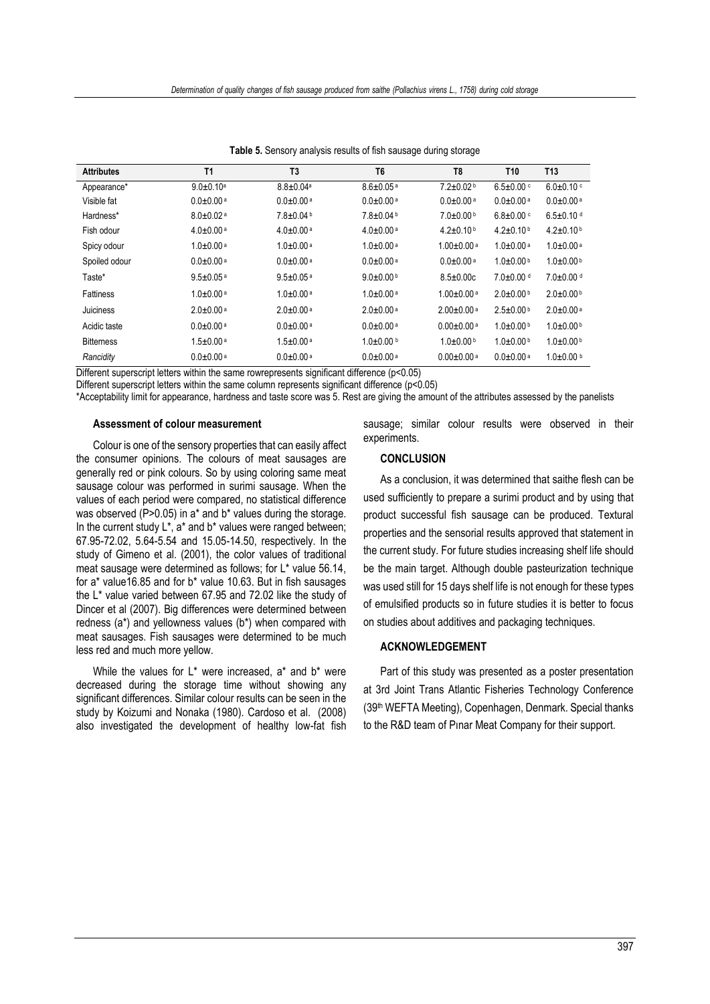<span id="page-6-0"></span>

| <b>Attributes</b> | T <sub>1</sub>              | T <sub>3</sub>              | T <sub>6</sub>              | T <sub>8</sub>               | T <sub>10</sub>           | T <sub>13</sub>             |
|-------------------|-----------------------------|-----------------------------|-----------------------------|------------------------------|---------------------------|-----------------------------|
|                   |                             |                             |                             |                              |                           |                             |
| Appearance*       | $9.0 \pm 0.10^a$            | $8.8 \pm 0.04^a$            | $8.6 \pm 0.05$ <sup>a</sup> | $7.2 \pm 0.02$               | $6.5 \pm 0.00$ c          | $6.0 \pm 0.10$ c            |
| Visible fat       | $0.0 + 0.00$ <sup>a</sup>   | $0.0 + 0.00$ <sup>a</sup>   | $0.0 + 0.00$ <sup>a</sup>   | $0.0 + 0.00$ <sup>a</sup>    | $0.0 + 0.00$ <sup>a</sup> | $0.0 + 0.00$ <sup>a</sup>   |
| Hardness*         | $8.0 \pm 0.02$ <sup>a</sup> | $7.8 \pm 0.04$ b            | $7.8 \pm 0.04$ b            | $7.0 \pm 0.00$ b             | $6.8 \pm 0.00$ c          | $6.5 \pm 0.10$ d            |
| Fish odour        | $4.0 \pm 0.00$ a            | $4.0 \pm 0.00$ a            | $4.0 \pm 0.00$ <sup>a</sup> | $4.2 \pm 0.10$ b             | $4.2 \pm 0.10$ b          | $4.2 \pm 0.10$ b            |
| Spicy odour       | $1.0 \pm 0.00$ a            | $1.0 \pm 0.00$ a            | $1.0 \pm 0.00$ a            | $1.00 \pm 0.00$ <sup>a</sup> | $1.0 + 0.00$ a            | $1.0 \pm 0.00$ a            |
| Spoiled odour     | $0.0 + 0.00$ <sup>a</sup>   | $0.0 + 0.00$ <sup>a</sup>   | $0.0 + 0.00$ <sup>a</sup>   | $0.0 + 0.00$ <sup>a</sup>    | $1.0\pm0.00$ b            | $1.0\pm0.00$ b              |
| Taste*            | $9.5 \pm 0.05$ <sup>a</sup> | $9.5 \pm 0.05$ <sup>a</sup> | $9.0+0.00b$                 | $8.5 \pm 0.00c$              | $7.0 \pm 0.00$ d          | $7.0 \pm 0.00$ d            |
| <b>Fattiness</b>  | $1.0 \pm 0.00$ a            | $1.0 \pm 0.00$ a            | $1.0 \pm 0.00$ <sup>a</sup> | $1.00 \pm 0.00$ <sup>a</sup> | $2.0\pm0.00$ b            | $2.0\pm0.00$ b              |
| Juiciness         | $2.0 \pm 0.00$ <sup>a</sup> | $20+0.00a$                  | $2.0 \pm 0.00$ <sup>a</sup> | $2.00 \pm 0.00$ <sup>a</sup> | $2.5 \pm 0.00$ b          | $2.0 \pm 0.00$ <sup>a</sup> |
| Acidic taste      | $0.0 + 0.00$ <sup>a</sup>   | $0.0 + 0.00$ <sup>a</sup>   | $0.0 + 0.00$ <sup>a</sup>   | $0.00 \pm 0.00$ <sup>a</sup> | $1.0+0.00b$               | $1.0\pm0.00$ b              |
| <b>Bitterness</b> | $1.5 \pm 0.00$ a            | $1.5 \pm 0.00$ a            | $1.0\pm0.00$ b              | $1.0+0.00$ b                 | $1.0+0.00b$               | $1.0\pm0.00$ b              |
| Rancidity         | $0.0 + 0.00$ <sup>a</sup>   | $0.0 + 0.00$ <sup>a</sup>   | $0.0 + 0.00$ <sup>a</sup>   | $0.00 \pm 0.00$ <sup>a</sup> | $0.0 + 0.00$ <sup>a</sup> | $1.0\pm0.00$ b              |

**Table 5.** Sensory analysis results of fish sausage during storage

Different superscript letters within the same rowrepresents significant difference (p<0.05)

Different superscript letters within the same column represents significant difference (p<0.05)

\*Acceptability limit for appearance, hardness and taste score was 5. Rest are giving the amount of the attributes assessed by the panelists

# **Assessment of colour measurement**

Colour is one of the sensory properties that can easily affect the consumer opinions. The colours of meat sausages are generally red or pink colours. So by using coloring same meat sausage colour was performed in surimi sausage. When the values of each period were compared, no statistical difference was observed (P>0.05) in a\* and b\* values during the storage. In the current study  $L^*$ , a<sup>\*</sup> and  $b^*$  values were ranged between; 67.95-72.02, 5.64-5.54 and 15.05-14.50, respectively. In the study of Gimeno et al. (2001), the color values of traditional meat sausage were determined as follows; for L\* value 56.14, for a\* value16.85 and for b\* value 10.63. But in fish sausages the L\* value varied between 67.95 and 72.02 like the study of Dincer et al (2007). Big differences were determined between redness (a\*) and yellowness values (b\*) when compared with meat sausages. Fish sausages were determined to be much less red and much more yellow.

While the values for L\* were increased, a\* and b\* were decreased during the storage time without showing any significant differences. Similar colour results can be seen in the study by Koizumi and Nonaka (1980). Cardoso et al. (2008) also investigated the development of healthy low-fat fish sausage; similar colour results were observed in their experiments.

# **CONCLUSION**

As a conclusion, it was determined that saithe flesh can be used sufficiently to prepare a surimi product and by using that product successful fish sausage can be produced. Textural properties and the sensorial results approved that statement in the current study. For future studies increasing shelf life should be the main target. Although double pasteurization technique was used still for 15 days shelf life is not enough for these types of emulsified products so in future studies it is better to focus on studies about additives and packaging techniques.

# **ACKNOWLEDGEMENT**

Part of this study was presented as a poster presentation at 3rd Joint Trans Atlantic Fisheries Technology Conference (39th WEFTA Meeting), Copenhagen, Denmark. Special thanks to the R&D team of Pınar Meat Company for their support.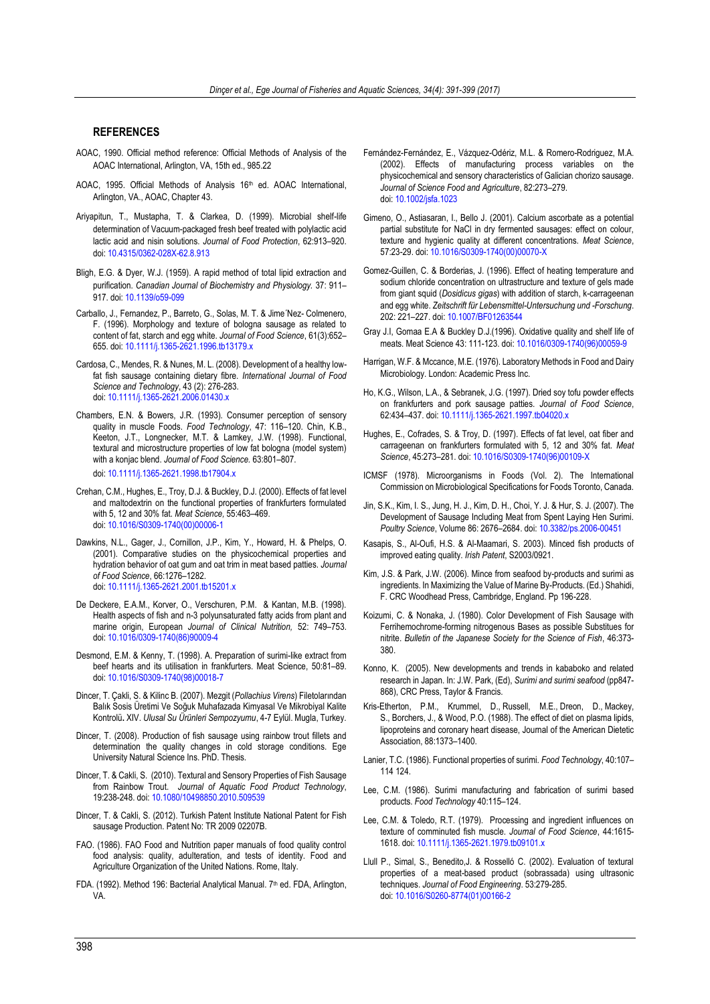# <span id="page-7-11"></span>**REFERENCES**

- AOAC, 1990. Official method reference: Official Methods of Analysis of the AOAC International, Arlington, VA, 15th ed., 985.22
- AOAC, 1995. Official Methods of Analysis 16<sup>th</sup> ed. AOAC International, Arlington, VA., AOAC, Chapter 43.
- <span id="page-7-14"></span>Ariyapitun, T., Mustapha, T. & Clarkea, D. (1999). Microbial shelf-life determination of Vacuum-packaged fresh beef treated with polylactic acid lactic acid and nisin solutions. *Journal of Food Protection*, 62:913–920. doi: [10.4315/0362-028X-62.8.913](http://dx.doi.org/10.4315/0362-028X-62.8.913)
- <span id="page-7-12"></span>Bligh, E.G. & Dyer, W.J. (1959). A rapid method of total lipid extraction and purification. *Canadian Journal of Biochemistry and Physiology.* 37: 911– 917. doi[: 10.1139/o59-099](http://dx.doi.org/10.1139/o59-099)
- <span id="page-7-7"></span>Carballo, J., Fernandez, P., Barreto, G., Solas, M. T. & Jime´Nez- Colmenero, F. (1996). Morphology and texture of bologna sausage as related to content of fat, starch and egg white. *Journal of Food Science*, 61(3):652– 655. doi: [10.1111/j.1365-2621.1996.tb13179.x](http://dx.doi.org/10.1111/j.1365-2621.1996.tb13179.x)
- <span id="page-7-19"></span>Cardosa, C., Mendes, R. & Nunes, M. L. (2008). Development of a healthy lowfat fish sausage containing dietary fibre. *International Journal of Food Science and Technology*, 43 (2): 276-283. doi: [10.1111/j.1365-2621.2006.01430.x](http://dx.doi.org/10.1111/j.1365-2621.2006.01430.x)
- <span id="page-7-31"></span>Chambers, E.N. & Bowers, J.R. (1993). Consumer perception of sensory quality in muscle Foods. *Food Technology*, 47: 116–120. Chin, K.B., Keeton, J.T., Longnecker, M.T. & Lamkey, J.W. (1998). Functional, textural and microstructure properties of low fat bologna (model system) with a konjac blend. *Journal of Food Science.* 63:801–807.

doi[: 10.1111/j.1365-2621.1998.tb17904.x](http://dx.doi.org/10.1111/j.1365-2621.1998.tb17904.x)

- <span id="page-7-29"></span>Crehan, C.M., Hughes, E., Troy, D.J. & Buckley, D.J. (2000). Effects of fat level and maltodextrin on the functional properties of frankfurters formulated with 5, 12 and 30% fat. *Meat Science,* 55:463–469. doi: [10.1016/S0309-1740\(00\)00006-1](http://dx.doi.org/10.1016/S0309-1740(00)00006-1)
- <span id="page-7-25"></span>Dawkins, N.L., Gager, J., Cornillon, J.P., Kim, Y., Howard, H. & Phelps, O. (2001). Comparative studies on the physicochemical properties and hydration behavior of oat gum and oat trim in meat based patties. *Journal of Food Science*, 66:1276–1282. doi: [10.1111/j.1365-2621.2001.tb15201.x](http://dx.doi.org/10.1111/j.1365-2621.2001.tb15201.x)
- <span id="page-7-4"></span>De Deckere, E.A.M., Korver, O., Verschuren, P.M. & Kantan, M.B. (1998). Health aspects of fish and n-3 polyunsaturated fatty acids from plant and marine origin, European *Journal of Clinical Nutrition,* 52: 749–753. doi: [10.1016/0309-1740\(86\)90009-4](http://dx.doi.org/10.1016/0309-1740(86)90009-4)
- <span id="page-7-30"></span>Desmond, E.M. & Kenny, T. (1998). A. Preparation of surimi-like extract from beef hearts and its utilisation in frankfurters. Meat Science, 50:81–89. doi[: 10.1016/S0309-1740\(98\)00018-7](http://dx.doi.org/10.1016/S0309-1740(98)00018-7)
- <span id="page-7-18"></span>Dincer, T. Çakli, S. & Kilinc B. (2007). Mezgit (*Pollachius Virens*) Filetolarından Balık Sosis Üretimi Ve Soğuk Muhafazada Kimyasal Ve Mikrobiyal Kalite Kontrolü**.** XIV. *Ulusal Su Ürünleri Sempozyumu*, 4-7 Eylül. Mugla, Turkey.
- <span id="page-7-17"></span>Dincer, T. (2008). Production of fish sausage using rainbow trout fillets and determination the quality changes in cold storage conditions. Ege University Natural Science Ins. PhD. Thesis.
- <span id="page-7-24"></span>Dincer, T. & Cakli, S. (2010). Textural and Sensory Properties of Fish Sausage from Rainbow Trout. *Journal of Aquatic Food Product Technology*, 19:238-248. doi: [10.1080/10498850.2010.509539](http://dx.doi.org/10.1080/10498850.2010.509539)
- <span id="page-7-10"></span>Dincer, T. & Cakli, S. (2012). Turkish Patent Institute National Patent for Fish sausage Production. Patent No: TR 2009 02207B.
- <span id="page-7-21"></span>FAO. (1986). FAO Food and Nutrition paper manuals of food quality control food analysis: quality, adulteration, and tests of identity. Food and Agriculture Organization of the United Nations*.* Rome, Italy.
- <span id="page-7-15"></span>FDA. (1992). Method 196: Bacterial Analytical Manual. 7<sup>th</sup> ed. FDA. Arlington. VA.
- <span id="page-7-16"></span>Fernández-Fernández, E., Vázquez-Odériz, M.L. & Romero-Rodriguez, M.A. (2002). Effects of manufacturing process variables on the physicochemical and sensory characteristics of Galician chorizo sausage*. Journal of Science Food and Agriculture*, 82:273–279. doi[: 10.1002/jsfa.1023](http://dx.doi.org/10.1002/jsfa.1023)
- Gimeno, O., Astiasaran, I., Bello J. (2001). Calcium ascorbate as a potential partial substitute for NaCl in dry fermented sausages: effect on colour, texture and hygienic quality at different concentrations. *Meat Science*, 57:23-29. doi: [10.1016/S0309-1740\(00\)00070-X](http://dx.doi.org/10.1016/S0309-1740(00)00070-X)
- <span id="page-7-32"></span>Gomez-Guillen, C. & Borderias, J. (1996). Effect of heating temperature and sodium chloride concentration on ultrastructure and texture of gels made from giant squid (*Dosidicus gigas*) with addition of starch, k-carrageenan and egg white. *Zeitschrift für Lebensmittel-Untersuchung und -Forschung*. 202: 221–227. doi: [10.1007/BF01263544](http://dx.doi.org/10.1007/BF01263544)
- <span id="page-7-20"></span>Gray J.I, Gomaa E.A & Buckley D.J.(1996). Oxidative quality and shelf life of meats. Meat Science 43: 111-123. doi[: 10.1016/0309-1740\(96\)00059-9](http://dx.doi.org/10.1016/0309-1740(96)00059-9)
- <span id="page-7-13"></span>Harrigan, W.F. & Mccance, M.E. (1976). Laboratory Methods in Food and Dairy Microbiology. London: Academic Press Inc.
- <span id="page-7-26"></span>Ho, K.G., Wilson, L.A., & Sebranek, J.G. (1997). Dried soy tofu powder effects on frankfurters and pork sausage patties. *Journal of Food Science*, 62:434–437. doi[: 10.1111/j.1365-2621.1997.tb04020.x](http://dx.doi.org/10.1111/j.1365-2621.1997.tb04020.x)
- <span id="page-7-9"></span><span id="page-7-8"></span>Hughes, E., Cofrades, S. & Troy, D. (1997). Effects of fat level, oat fiber and carrageenan on frankfurters formulated with 5, 12 and 30% fat. *Meat Science*, 45:273–281. doi: [10.1016/S0309-1740\(96\)00109-X](http://dx.doi.org/10.1016/S0309-1740(96)00109-X)
- <span id="page-7-22"></span>ICMSF (1978). Microorganisms in Foods (Vol. 2). The International Commission on Microbiological Specifications for Foods Toronto, Canada.
- <span id="page-7-3"></span>Jin, S.K., Kim, I. S., Jung, H. J., Kim, D. H., Choi, Y. J. & Hur, S. J. (2007). The Development of Sausage Including Meat from Spent Laying Hen Surimi. *Poultry Science*, Volume 86: 2676–2684. doi: [10.3382/ps.2006-00451](http://dx.doi.org/10.3382/ps.2006-00451)
- <span id="page-7-28"></span>Kasapis, S., Al-Oufi, H.S. & Al-Maamari, S. 2003). Minced fish products of improved eating quality. *Irish Patent*, S2003/0921.
- <span id="page-7-2"></span>Kim, J.S. & Park, J.W. (2006). Mince from seafood by-products and surimi as ingredients. In Maximizing the Value of Marine By-Products. (Ed.) Shahidi, F. CRC Woodhead Press, Cambridge, England. Pp 196-228.
- Koizumi, C. & Nonaka, J. (1980). Color Development of Fish Sausage with Ferrihemochrome-forming nitrogenous Bases as possible Substitues for nitrite. *Bulletin of the Japanese Society for the Science of Fish*, 46:373- 380.
- <span id="page-7-5"></span>Konno, K. (2005). New developments and trends in kababoko and related research in Japan. In: J.W. Park, (Ed), *Surimi and surimi seafood* (pp847- 868), CRC Press, Taylor & Francis.
- <span id="page-7-6"></span>Kris-Etherton, P.M., Krummel, D., Russell, M.E., Dreon, D., Mackey, S., Borchers, J., & Wood, P.O. (1988). The effect of diet on plasma lipids, lipoproteins and coronary heart disease, Journal of the American Dietetic Association, 88:1373–1400.
- <span id="page-7-1"></span>Lanier, T.C. (1986). Functional properties of surimi. *Food Technology*, 40:107– 114 124.
- <span id="page-7-0"></span>Lee, C.M. (1986). Surimi manufacturing and fabrication of surimi based products. *Food Technology* 40:115–124.
- <span id="page-7-27"></span>Lee, C.M. & Toledo, R.T. (1979). Processing and ingredient influences on texture of comminuted fish muscle. *Journal of Food Science*, 44:1615- 1618. doi[: 10.1111/j.1365-2621.1979.tb09101.x](http://dx.doi.org/10.1111/j.1365-2621.1979.tb09101.x)
- <span id="page-7-23"></span>Llull P., Simal, S., Benedito,J. & Rosselló C. (2002). Evaluation of textural properties of a meat-based product (sobrassada) using ultrasonic techniques. *Journal of Food Engineering*. 53:279-285. doi: [10.1016/S0260-8774\(01\)00166-2](http://dx.doi.org/10.1016/S0260-8774(01)00166-2)